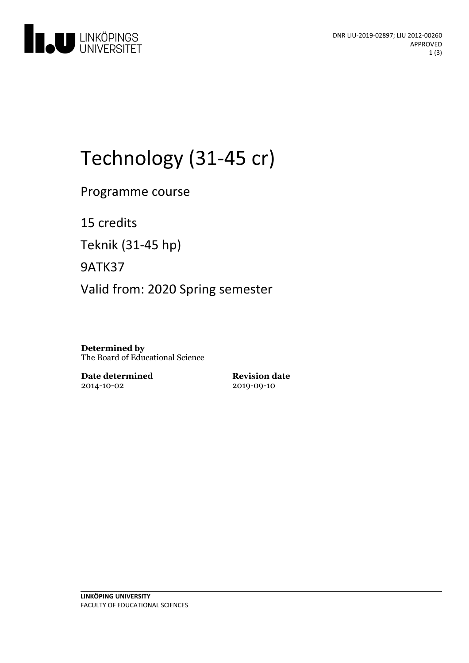

# Technology (31-45 cr)

Programme course

15 credits

Teknik (31-45 hp)

9ATK37

Valid from: 2020 Spring semester

**Determined by** The Board of Educational Science

**Date determined** 2014-10-02

**Revision date** 2019-09-10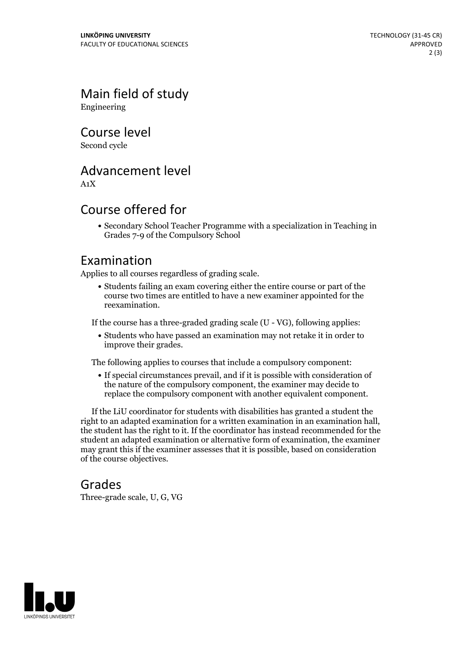Main field of study Engineering

Course level

Second cycle

# Advancement level

A1X

# Course offered for

Secondary School Teacher Programme with a specialization in Teaching in Grades 7-9 of the Compulsory School

## Examination

Applies to all courses regardless of grading scale.

Students failing an exam covering either the entire course or part of the course two times are entitled to have a new examiner appointed for the reexamination.

If the course has a three-graded grading scale (U - VG), following applies:

Students who have passed an examination may not retake it in order to improve their grades.

The following applies to courses that include a compulsory component:

If special circumstances prevail, and if it is possible with consideration of the nature of the compulsory component, the examiner may decide to replace the compulsory component with another equivalent component.

If the LiU coordinator for students with disabilities has granted a student the right to an adapted examination for <sup>a</sup> written examination in an examination hall, the student has the right to it. If the coordinator has instead recommended for the student an adapted examination or alternative form of examination, the examiner may grant this if the examiner assesses that it is possible, based on consideration of the course objectives.

### Grades

Three-grade scale, U, G, VG